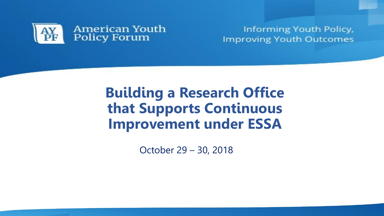

Informing Youth Policy, **Improving Youth Outcomes** 

# **Building a Research Office that Supports Continuous Improvement under ESSA**

October 29 – 30, 2018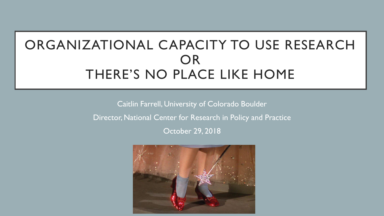# ORGANIZATIONAL CAPACITY TO USE RESEARCH OR THERE'S NO PLACE LIKE HOME

Caitlin Farrell, University of Colorado Boulder

Director, National Center for Research in Policy and Practice

October 29, 2018

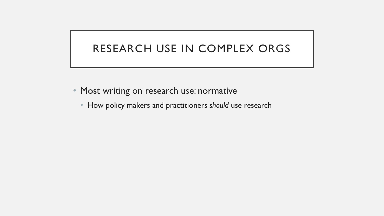# RESEARCH USE IN COMPLEX ORGS

- Most writing on research use: normative
	- How policy makers and practitioners *should* use research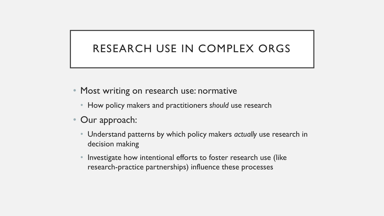# RESEARCH USE IN COMPLEX ORGS

- Most writing on research use: normative
	- How policy makers and practitioners *should* use research
- Our approach:
	- Understand patterns by which policy makers *actually* use research in decision making
	- Investigate how intentional efforts to foster research use (like research-practice partnerships) influence these processes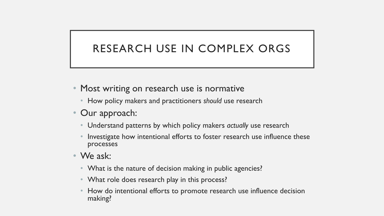# RESEARCH USE IN COMPLEX ORGS

- Most writing on research use is normative
	- How policy makers and practitioners *should* use research
- Our approach:
	- Understand patterns by which policy makers *actually* use research
	- Investigate how intentional efforts to foster research use influence these processes
- We ask:
	- What is the nature of decision making in public agencies?
	- What role does research play in this process?
	- How do intentional efforts to promote research use influence decision making?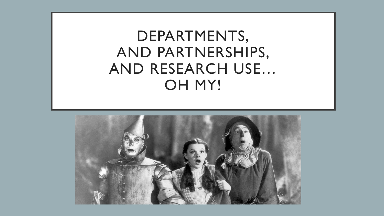# DEPARTMENTS, AND PARTNERSHIPS, AND RESEARCH USE… OH MY!

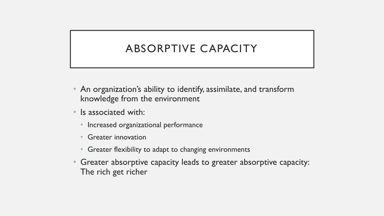# ABSORPTIVE CAPACITY

- An organization's ability to identify, assimilate, and transform knowledge from the environment
- Is associated with:
	- Increased organizational performance
	- Greater innovation
	- Greater flexibility to adapt to changing environments
- Greater absorptive capacity leads to greater absorptive capacity: The rich get richer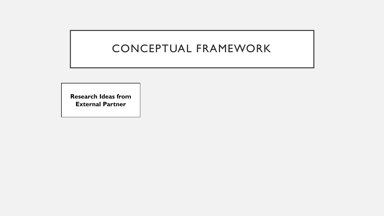**Research Ideas from External Partner**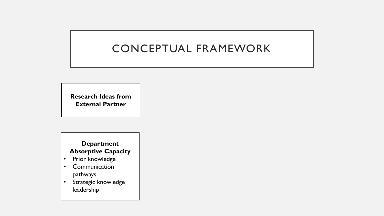**Research Ideas from External Partner**

#### **Department Absorptive Capacity**

- Prior knowledge
- Communication pathways
- Strategic knowledge leadership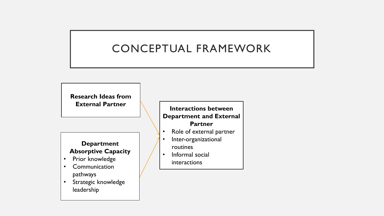**Research Ideas from External Partner**

#### **Department Absorptive Capacity**

- Prior knowledge
- Communication pathways
- Strategic knowledge leadership

#### **Interactions between Department and External Partner**

- Role of external partner
- Inter-organizational routines
- Informal social interactions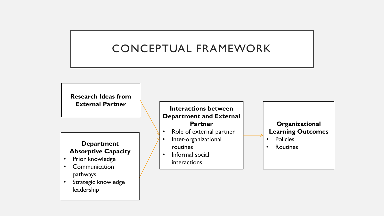**Research Ideas from External Partner**

# **Absorptive Capacity**

- Prior knowledge
- Communication pathways
- Strategic knowledge leadership

**Interactions between Department and External Partner**

- Role of external partner
- Inter-organizational routines **Department**  $\begin{vmatrix} 1 & 1 & 1 & 1 \\ 1 & 1 & 1 & 1 \\ 1 & 1 & 1 & 1 \end{vmatrix}$  **Routines** 
	- Informal social interactions

#### **Organizational Learning Outcomes** • Policies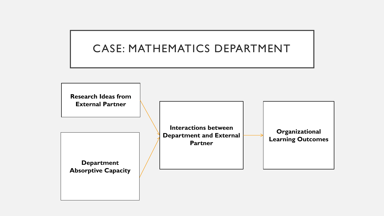### CASE: MATHEMATICS DEPARTMENT

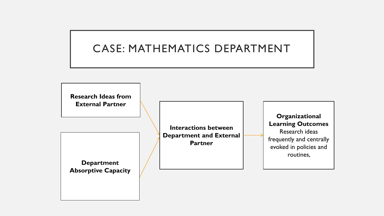### CASE: MATHEMATICS DEPARTMENT

**Research Ideas from External Partner**

**Department Absorptive Capacity** 

**Interactions between Department and External Partner**

**Organizational Learning Outcomes** Research ideas frequently and centrally evoked in policies and routines,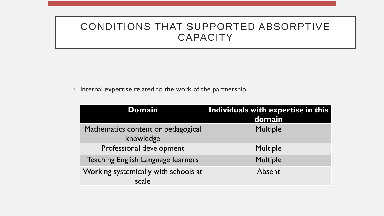• Internal expertise related to the work of the partnership

| <b>Domain</b>                                   | Individuals with expertise in this<br>domain |
|-------------------------------------------------|----------------------------------------------|
| Mathematics content or pedagogical<br>knowledge | <b>Multiple</b>                              |
| Professional development                        | <b>Multiple</b>                              |
| Teaching English Language learners              | <b>Multiple</b>                              |
| Working systemically with schools at<br>scale   | Absent                                       |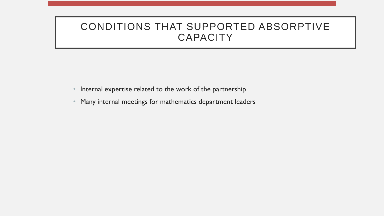- Internal expertise related to the work of the partnership
- Many internal meetings for mathematics department leaders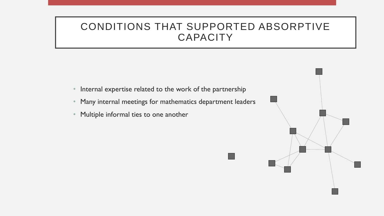- Internal expertise related to the work of the partnership
- Many internal meetings for mathematics department leaders
- Multiple informal ties to one another

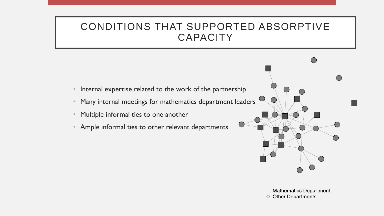- Internal expertise related to the work of the partnership
- Many internal meetings for mathematics department leaders
- Multiple informal ties to one another
- Ample informal ties to other relevant departments



 $\Box$  Mathematics Department ○ Other Departments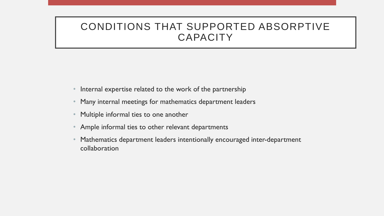- Internal expertise related to the work of the partnership
- Many internal meetings for mathematics department leaders
- Multiple informal ties to one another
- Ample informal ties to other relevant departments
- Mathematics department leaders intentionally encouraged inter-department collaboration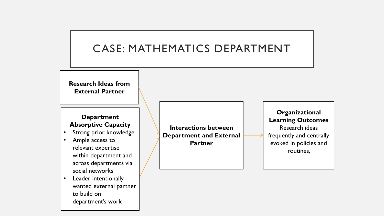### CASE: MATHEMATICS DEPARTMENT

**Research Ideas from External Partner**

#### **Department Absorptive Capacity**

- Strong prior knowledge
- Ample access to relevant expertise within department and across departments via social networks
- Leader intentionally wanted external partner to build on department's work

**Interactions between Department and External Partner**

**Organizational Learning Outcomes** Research ideas frequently and centrally evoked in policies and routines,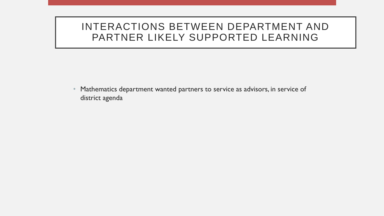#### INTERACTIONS BETWEEN DEPARTMENT AND PARTNER LIKELY SUPPORTED LEARNING

• Mathematics department wanted partners to service as advisors, in service of district agenda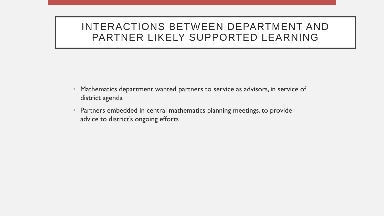#### INTERACTIONS BETWEEN DEPARTMENT AND PARTNER LIKELY SUPPORTED LEARNING

- Mathematics department wanted partners to service as advisors, in service of district agenda
- Partners embedded in central mathematics planning meetings, to provide advice to district's ongoing efforts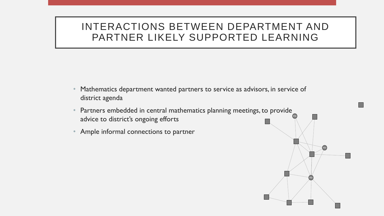### INTERACTIONS BETWEEN DEPARTMENT AND PARTNER LIKELY SUPPORTED LEARNING

- Mathematics department wanted partners to service as advisors, in service of district agenda
- Partners embedded in central mathematics planning meetings, to provide advice to district's ongoing efforts
- Ample informal connections to partner

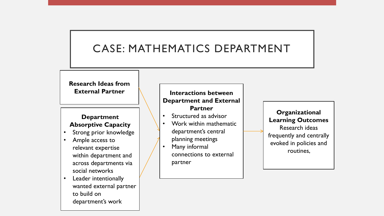### CASE: MATHEMATICS DEPARTMENT

**Research Ideas from** 

#### **Department Absorptive Capacity**

- Strong prior knowledge
- Ample access to relevant expertise within department and across departments via social networks
- Leader intentionally wanted external partner to build on department's work

#### **External Partner Interactions between Department and External Partner**

- Structured as advisor
- Work within mathematic department's central planning meetings
- Many informal connections to external partner

**Organizational Learning Outcomes** Research ideas frequently and centrally evoked in policies and routines,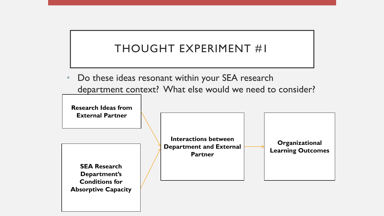# THOUGHT EXPERIMENT #1

Do these ideas resonant within your SEA research department context? What else would we need to consider?

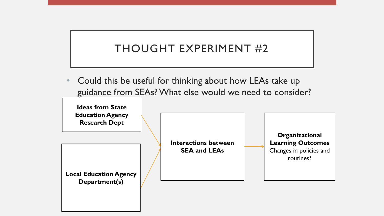# THOUGHT EXPERIMENT #2

• Could this be useful for thinking about how LEAs take up guidance from SEAs? What else would we need to consider?

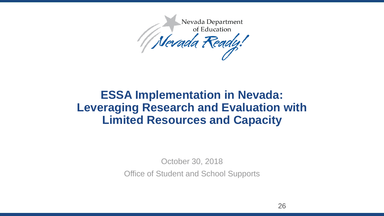

# **ESSA Implementation in Nevada: Leveraging Research and Evaluation with Limited Resources and Capacity**

October 30, 2018

Office of Student and School Supports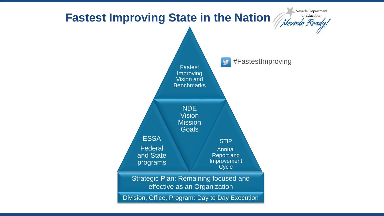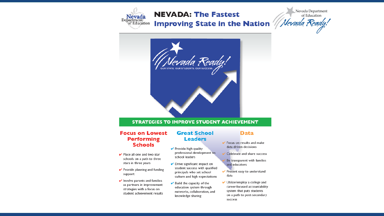

# **NEVADA: The Fastest**

Improving State in the Nation /





#### **STRATEGIES TO IMPROVE STUDENT ACHIEVEMENT**

#### **Focus on Lowest Performing Schools**

- Place all one and two star schools on a path to three stars in three years
- $\blacktriangleright$  Provide planning and funding support
- $\blacktriangleright$  Involve parents and families as partners in improvement strategies with a focus on student achievement results

#### **Great School Leaders**

- $\blacktriangleright$  Provide high quality professional development to school leaders
- $\triangleright$  Drive significant impact on student success with qualified principals who set school culture and high expectations
- $\triangleright$  Build the capacity of the education system through networks, collaboration, and knowledge sharing

 $\vee$  Focus on results and make

**Data** 

- data-driven decisions
- Celebrate and share success
- Be transparent with families and educators
- $\blacktriangleright$  Present easy to understand data
- Utilize/employ a college and career-focused accountability system that puts students on a path to post-secondary success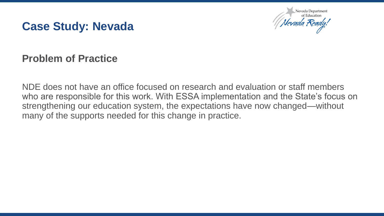



### **Problem of Practice**

NDE does not have an office focused on research and evaluation or staff members who are responsible for this work. With ESSA implementation and the State's focus on strengthening our education system, the expectations have now changed—without many of the supports needed for this change in practice.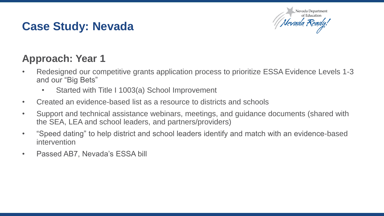

# **Approach: Year 1**

- Redesigned our competitive grants application process to prioritize ESSA Evidence Levels 1-3 and our "Big Bets"
	- Started with Title I 1003(a) School Improvement
- Created an evidence-based list as a resource to districts and schools
- Support and technical assistance webinars, meetings, and guidance documents (shared with the SEA, LEA and school leaders, and partners/providers)
- "Speed dating" to help district and school leaders identify and match with an evidence-based intervention
- Passed AB7, Nevada's ESSA bill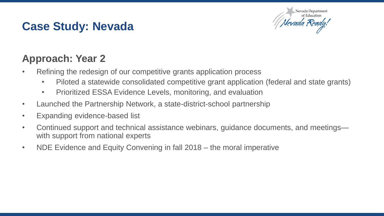

# **Approach: Year 2**

- Refining the redesign of our competitive grants application process
	- Piloted a statewide consolidated competitive grant application (federal and state grants)
	- Prioritized ESSA Evidence Levels, monitoring, and evaluation
- Launched the Partnership Network, a state-district-school partnership
- Expanding evidence-based list
- Continued support and technical assistance webinars, guidance documents, and meetings with support from national experts
- NDE Evidence and Equity Convening in fall 2018 the moral imperative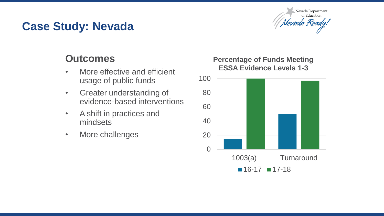

### **Outcomes**

- More effective and efficient usage of public funds
- Greater understanding of evidence-based interventions
- A shift in practices and mindsets
- More challenges

#### **Percentage of Funds Meeting ESSA Evidence Levels 1-3**

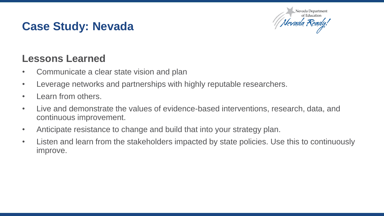

### **Lessons Learned**

- Communicate a clear state vision and plan
- Leverage networks and partnerships with highly reputable researchers.
- Learn from others.
- Live and demonstrate the values of evidence-based interventions, research, data, and continuous improvement.
- Anticipate resistance to change and build that into your strategy plan.
- Listen and learn from the stakeholders impacted by state policies. Use this to continuously improve.